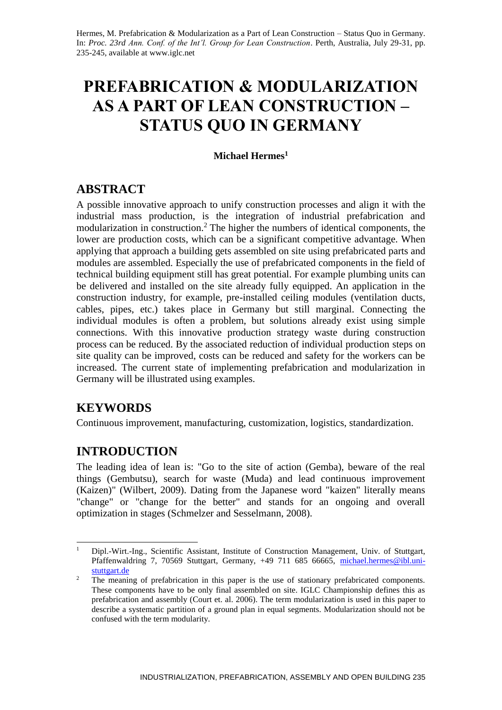# **PREFABRICATION & MODULARIZATION AS A PART OF LEAN CONSTRUCTION – STATUS QUO IN GERMANY**

## **Michael Hermes<sup>1</sup>**

## **ABSTRACT**

A possible innovative approach to unify construction processes and align it with the industrial mass production, is the integration of industrial prefabrication and modularization in construction.<sup>2</sup> The higher the numbers of identical components, the lower are production costs, which can be a significant competitive advantage. When applying that approach a building gets assembled on site using prefabricated parts and modules are assembled. Especially the use of prefabricated components in the field of technical building equipment still has great potential. For example plumbing units can be delivered and installed on the site already fully equipped. An application in the construction industry, for example, pre-installed ceiling modules (ventilation ducts, cables, pipes, etc.) takes place in Germany but still marginal. Connecting the individual modules is often a problem, but solutions already exist using simple connections. With this innovative production strategy waste during construction process can be reduced. By the associated reduction of individual production steps on site quality can be improved, costs can be reduced and safety for the workers can be increased. The current state of implementing prefabrication and modularization in Germany will be illustrated using examples.

# **KEYWORDS**

Continuous improvement, manufacturing, customization, logistics, standardization.

# **INTRODUCTION**

The leading idea of lean is: "Go to the site of action (Gemba), beware of the real things (Gembutsu), search for waste (Muda) and lead continuous improvement (Kaizen)" (Wilbert, 2009). Dating from the Japanese word "kaizen" literally means "change" or "change for the better" and stands for an ongoing and overall optimization in stages (Schmelzer and Sesselmann, 2008).

<sup>-</sup><sup>1</sup> Dipl.-Wirt.-Ing., Scientific Assistant, Institute of Construction Management, Univ. of Stuttgart, Pfaffenwaldring 7, 70569 Stuttgart, Germany, +49 711 685 66665, [michael.hermes@ibl.uni](mailto:michael.hermes@ibl.uni-stuttgart.de)[stuttgart.de](mailto:michael.hermes@ibl.uni-stuttgart.de)

<sup>&</sup>lt;sup>2</sup> The meaning of prefabrication in this paper is the use of stationary prefabricated components. These components have to be only final assembled on site. IGLC Championship defines this as prefabrication and assembly (Court et. al. 2006). The term modularization is used in this paper to describe a systematic partition of a ground plan in equal segments. Modularization should not be confused with the term modularity.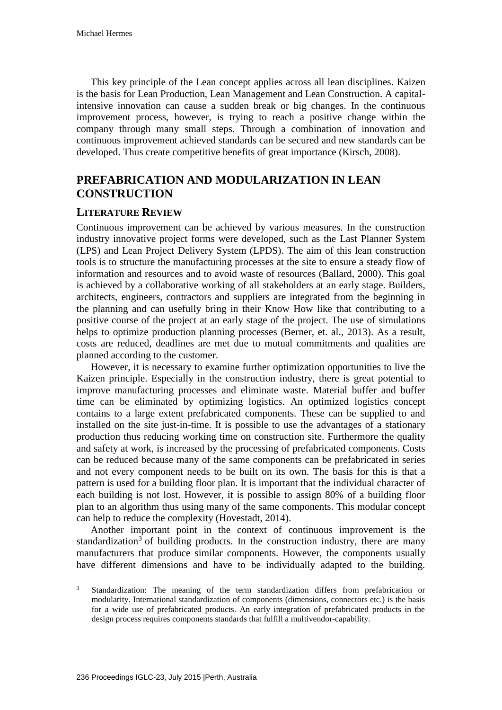This key principle of the Lean concept applies across all lean disciplines. Kaizen is the basis for Lean Production, Lean Management and Lean Construction. A capitalintensive innovation can cause a sudden break or big changes. In the continuous improvement process, however, is trying to reach a positive change within the company through many small steps. Through a combination of innovation and continuous improvement achieved standards can be secured and new standards can be developed. Thus create competitive benefits of great importance (Kirsch, 2008).

# **PREFABRICATION AND MODULARIZATION IN LEAN CONSTRUCTION**

#### **LITERATURE REVIEW**

Continuous improvement can be achieved by various measures. In the construction industry innovative project forms were developed, such as the Last Planner System (LPS) and Lean Project Delivery System (LPDS). The aim of this lean construction tools is to structure the manufacturing processes at the site to ensure a steady flow of information and resources and to avoid waste of resources (Ballard, 2000). This goal is achieved by a collaborative working of all stakeholders at an early stage. Builders, architects, engineers, contractors and suppliers are integrated from the beginning in the planning and can usefully bring in their Know How like that contributing to a positive course of the project at an early stage of the project. The use of simulations helps to optimize production planning processes (Berner, et. al., 2013). As a result, costs are reduced, deadlines are met due to mutual commitments and qualities are planned according to the customer.

However, it is necessary to examine further optimization opportunities to live the Kaizen principle. Especially in the construction industry, there is great potential to improve manufacturing processes and eliminate waste. Material buffer and buffer time can be eliminated by optimizing logistics. An optimized logistics concept contains to a large extent prefabricated components. These can be supplied to and installed on the site just-in-time. It is possible to use the advantages of a stationary production thus reducing working time on construction site. Furthermore the quality and safety at work, is increased by the processing of prefabricated components. Costs can be reduced because many of the same components can be prefabricated in series and not every component needs to be built on its own. The basis for this is that a pattern is used for a building floor plan. It is important that the individual character of each building is not lost. However, it is possible to assign 80% of a building floor plan to an algorithm thus using many of the same components. This modular concept can help to reduce the complexity (Hovestadt, 2014).

Another important point in the context of continuous improvement is the standardization<sup>3</sup> of building products. In the construction industry, there are many manufacturers that produce similar components. However, the components usually have different dimensions and have to be individually adapted to the building.

 $\overline{3}$ <sup>3</sup> Standardization: The meaning of the term standardization differs from prefabrication or modularity. International standardization of components (dimensions, connectors etc.) is the basis for a wide use of prefabricated products. An early integration of prefabricated products in the design process requires components standards that fulfill a multivendor-capability.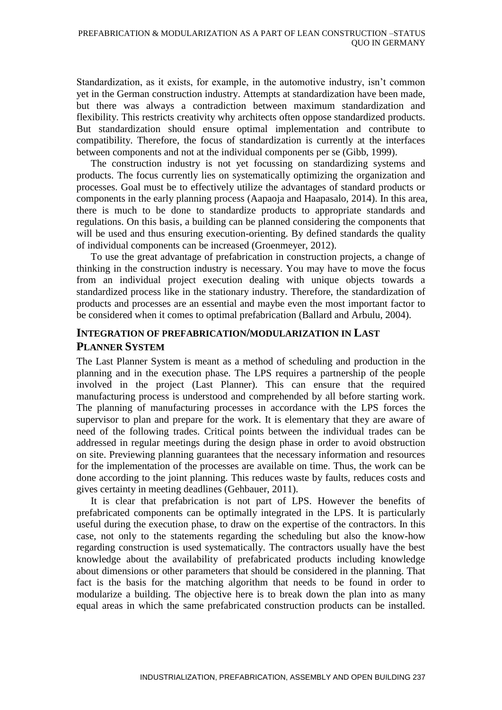Standardization, as it exists, for example, in the automotive industry, isn't common yet in the German construction industry. Attempts at standardization have been made, but there was always a contradiction between maximum standardization and flexibility. This restricts creativity why architects often oppose standardized products. But standardization should ensure optimal implementation and contribute to compatibility. Therefore, the focus of standardization is currently at the interfaces between components and not at the individual components per se (Gibb, 1999).

The construction industry is not yet focussing on standardizing systems and products. The focus currently lies on systematically optimizing the organization and processes. Goal must be to effectively utilize the advantages of standard products or components in the early planning process (Aapaoja and Haapasalo, 2014). In this area, there is much to be done to standardize products to appropriate standards and regulations. On this basis, a building can be planned considering the components that will be used and thus ensuring execution-orienting. By defined standards the quality of individual components can be increased (Groenmeyer, 2012).

To use the great advantage of prefabrication in construction projects, a change of thinking in the construction industry is necessary. You may have to move the focus from an individual project execution dealing with unique objects towards a standardized process like in the stationary industry. Therefore, the standardization of products and processes are an essential and maybe even the most important factor to be considered when it comes to optimal prefabrication (Ballard and Arbulu, 2004).

## **INTEGRATION OF PREFABRICATION/MODULARIZATION IN LAST PLANNER SYSTEM**

The Last Planner System is meant as a method of scheduling and production in the planning and in the execution phase. The LPS requires a partnership of the people involved in the project (Last Planner). This can ensure that the required manufacturing process is understood and comprehended by all before starting work. The planning of manufacturing processes in accordance with the LPS forces the supervisor to plan and prepare for the work. It is elementary that they are aware of need of the following trades. Critical points between the individual trades can be addressed in regular meetings during the design phase in order to avoid obstruction on site. Previewing planning guarantees that the necessary information and resources for the implementation of the processes are available on time. Thus, the work can be done according to the joint planning. This reduces waste by faults, reduces costs and gives certainty in meeting deadlines (Gehbauer, 2011).

It is clear that prefabrication is not part of LPS. However the benefits of prefabricated components can be optimally integrated in the LPS. It is particularly useful during the execution phase, to draw on the expertise of the contractors. In this case, not only to the statements regarding the scheduling but also the know-how regarding construction is used systematically. The contractors usually have the best knowledge about the availability of prefabricated products including knowledge about dimensions or other parameters that should be considered in the planning. That fact is the basis for the matching algorithm that needs to be found in order to modularize a building. The objective here is to break down the plan into as many equal areas in which the same prefabricated construction products can be installed.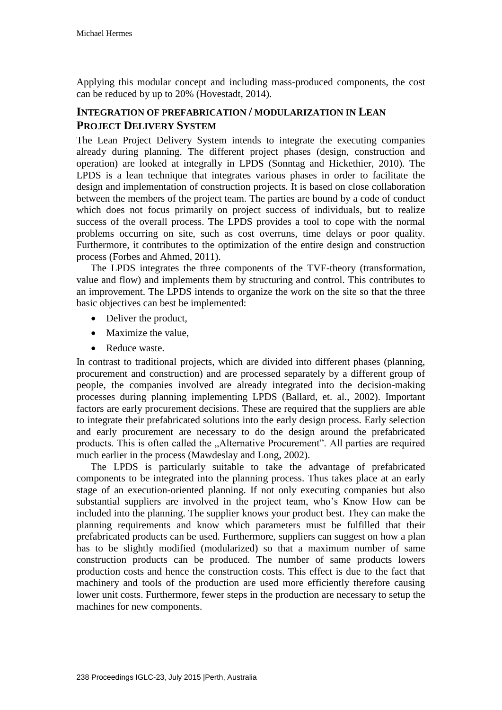Applying this modular concept and including mass-produced components, the cost can be reduced by up to 20% (Hovestadt, 2014).

## **INTEGRATION OF PREFABRICATION / MODULARIZATION IN LEAN PROJECT DELIVERY SYSTEM**

The Lean Project Delivery System intends to integrate the executing companies already during planning. The different project phases (design, construction and operation) are looked at integrally in LPDS (Sonntag and Hickethier, 2010). The LPDS is a lean technique that integrates various phases in order to facilitate the design and implementation of construction projects. It is based on close collaboration between the members of the project team. The parties are bound by a code of conduct which does not focus primarily on project success of individuals, but to realize success of the overall process. The LPDS provides a tool to cope with the normal problems occurring on site, such as cost overruns, time delays or poor quality. Furthermore, it contributes to the optimization of the entire design and construction process (Forbes and Ahmed, 2011).

The LPDS integrates the three components of the TVF-theory (transformation, value and flow) and implements them by structuring and control. This contributes to an improvement. The LPDS intends to organize the work on the site so that the three basic objectives can best be implemented:

- Deliver the product,
- Maximize the value,
- Reduce waste.

In contrast to traditional projects, which are divided into different phases (planning, procurement and construction) and are processed separately by a different group of people, the companies involved are already integrated into the decision-making processes during planning implementing LPDS (Ballard, et. al., 2002). Important factors are early procurement decisions. These are required that the suppliers are able to integrate their prefabricated solutions into the early design process. Early selection and early procurement are necessary to do the design around the prefabricated products. This is often called the "Alternative Procurement". All parties are required much earlier in the process (Mawdeslay and Long, 2002).

The LPDS is particularly suitable to take the advantage of prefabricated components to be integrated into the planning process. Thus takes place at an early stage of an execution-oriented planning. If not only executing companies but also substantial suppliers are involved in the project team, who's Know How can be included into the planning. The supplier knows your product best. They can make the planning requirements and know which parameters must be fulfilled that their prefabricated products can be used. Furthermore, suppliers can suggest on how a plan has to be slightly modified (modularized) so that a maximum number of same construction products can be produced. The number of same products lowers production costs and hence the construction costs. This effect is due to the fact that machinery and tools of the production are used more efficiently therefore causing lower unit costs. Furthermore, fewer steps in the production are necessary to setup the machines for new components.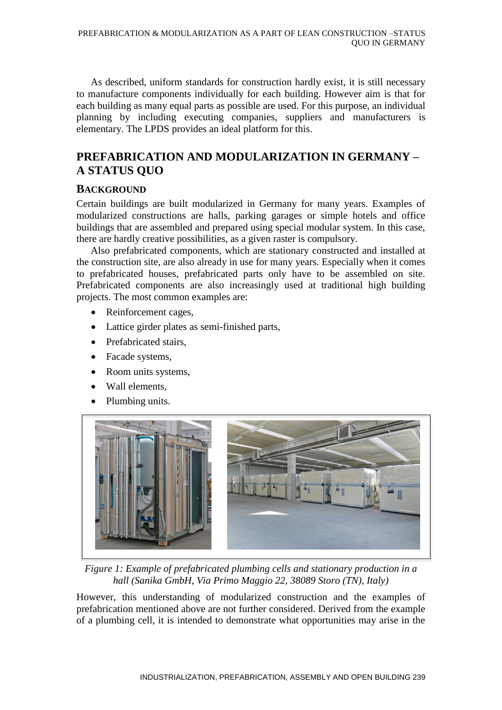As described, uniform standards for construction hardly exist, it is still necessary to manufacture components individually for each building. However aim is that for each building as many equal parts as possible are used. For this purpose, an individual planning by including executing companies, suppliers and manufacturers is elementary. The LPDS provides an ideal platform for this.

# **PREFABRICATION AND MODULARIZATION IN GERMANY – A STATUS QUO**

## **BACKGROUND**

Certain buildings are built modularized in Germany for many years. Examples of modularized constructions are halls, parking garages or simple hotels and office buildings that are assembled and prepared using special modular system. In this case, there are hardly creative possibilities, as a given raster is compulsory.

Also prefabricated components, which are stationary constructed and installed at the construction site, are also already in use for many years. Especially when it comes to prefabricated houses, prefabricated parts only have to be assembled on site. Prefabricated components are also increasingly used at traditional high building projects. The most common examples are:

- Reinforcement cages,
- Lattice girder plates as semi-finished parts,
- Prefabricated stairs.
- Facade systems,
- Room units systems,
- Wall elements,
- Plumbing units.



*Figure 1: Example of prefabricated plumbing cells and stationary production in a hall (Sanika GmbH, Via Primo Maggio 22, 38089 Storo (TN), Italy)*

However, this understanding of modularized construction and the examples of prefabrication mentioned above are not further considered. Derived from the example of a plumbing cell, it is intended to demonstrate what opportunities may arise in the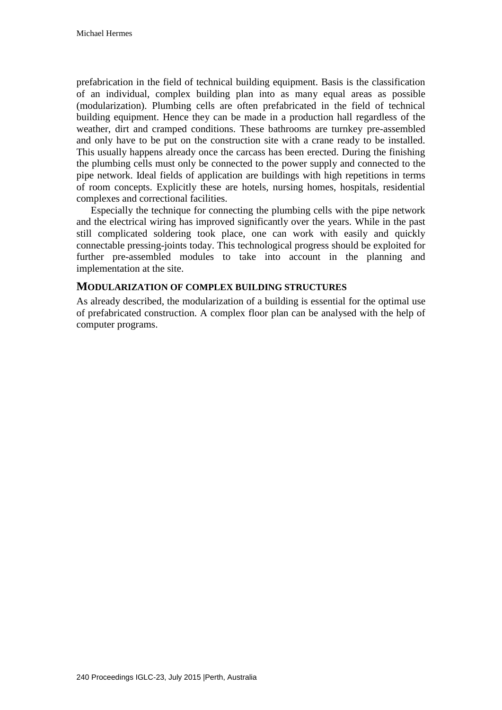prefabrication in the field of technical building equipment. Basis is the classification of an individual, complex building plan into as many equal areas as possible (modularization). Plumbing cells are often prefabricated in the field of technical building equipment. Hence they can be made in a production hall regardless of the weather, dirt and cramped conditions. These bathrooms are turnkey pre-assembled and only have to be put on the construction site with a crane ready to be installed. This usually happens already once the carcass has been erected. During the finishing the plumbing cells must only be connected to the power supply and connected to the pipe network. Ideal fields of application are buildings with high repetitions in terms of room concepts. Explicitly these are hotels, nursing homes, hospitals, residential complexes and correctional facilities.

Especially the technique for connecting the plumbing cells with the pipe network and the electrical wiring has improved significantly over the years. While in the past still complicated soldering took place, one can work with easily and quickly connectable pressing-joints today. This technological progress should be exploited for further pre-assembled modules to take into account in the planning and implementation at the site.

#### **MODULARIZATION OF COMPLEX BUILDING STRUCTURES**

As already described, the modularization of a building is essential for the optimal use of prefabricated construction. A complex floor plan can be analysed with the help of computer programs.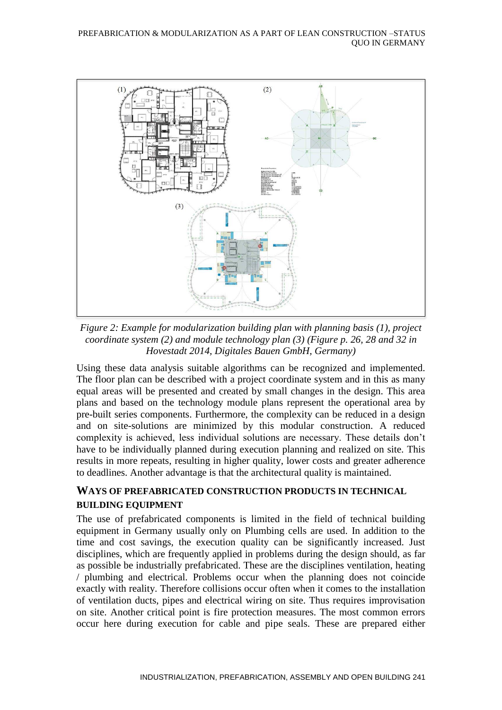

*Figure 2: Example for modularization building plan with planning basis (1), project coordinate system (2) and module technology plan (3) (Figure p. 26, 28 and 32 in Hovestadt 2014, Digitales Bauen GmbH, Germany)*

Using these data analysis suitable algorithms can be recognized and implemented. The floor plan can be described with a project coordinate system and in this as many equal areas will be presented and created by small changes in the design. This area plans and based on the technology module plans represent the operational area by pre-built series components. Furthermore, the complexity can be reduced in a design and on site-solutions are minimized by this modular construction. A reduced complexity is achieved, less individual solutions are necessary. These details don't have to be individually planned during execution planning and realized on site. This results in more repeats, resulting in higher quality, lower costs and greater adherence to deadlines. Another advantage is that the architectural quality is maintained.

## **WAYS OF PREFABRICATED CONSTRUCTION PRODUCTS IN TECHNICAL BUILDING EQUIPMENT**

The use of prefabricated components is limited in the field of technical building equipment in Germany usually only on Plumbing cells are used. In addition to the time and cost savings, the execution quality can be significantly increased. Just disciplines, which are frequently applied in problems during the design should, as far as possible be industrially prefabricated. These are the disciplines ventilation, heating / plumbing and electrical. Problems occur when the planning does not coincide exactly with reality. Therefore collisions occur often when it comes to the installation of ventilation ducts, pipes and electrical wiring on site. Thus requires improvisation on site. Another critical point is fire protection measures. The most common errors occur here during execution for cable and pipe seals. These are prepared either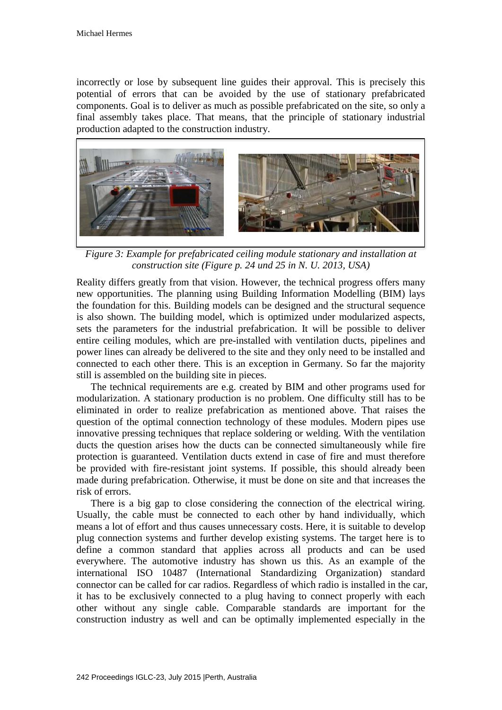incorrectly or lose by subsequent line guides their approval. This is precisely this potential of errors that can be avoided by the use of stationary prefabricated components. Goal is to deliver as much as possible prefabricated on the site, so only a final assembly takes place. That means, that the principle of stationary industrial production adapted to the construction industry.



*Figure 3: Example for prefabricated ceiling module stationary and installation at construction site (Figure p. 24 und 25 in N. U. 2013, USA)*

Reality differs greatly from that vision. However, the technical progress offers many new opportunities. The planning using Building Information Modelling (BIM) lays the foundation for this. Building models can be designed and the structural sequence is also shown. The building model, which is optimized under modularized aspects, sets the parameters for the industrial prefabrication. It will be possible to deliver entire ceiling modules, which are pre-installed with ventilation ducts, pipelines and power lines can already be delivered to the site and they only need to be installed and connected to each other there. This is an exception in Germany. So far the majority still is assembled on the building site in pieces.

The technical requirements are e.g. created by BIM and other programs used for modularization. A stationary production is no problem. One difficulty still has to be eliminated in order to realize prefabrication as mentioned above. That raises the question of the optimal connection technology of these modules. Modern pipes use innovative pressing techniques that replace soldering or welding. With the ventilation ducts the question arises how the ducts can be connected simultaneously while fire protection is guaranteed. Ventilation ducts extend in case of fire and must therefore be provided with fire-resistant joint systems. If possible, this should already been made during prefabrication. Otherwise, it must be done on site and that increases the risk of errors.

There is a big gap to close considering the connection of the electrical wiring. Usually, the cable must be connected to each other by hand individually, which means a lot of effort and thus causes unnecessary costs. Here, it is suitable to develop plug connection systems and further develop existing systems. The target here is to define a common standard that applies across all products and can be used everywhere. The automotive industry has shown us this. As an example of the international ISO 10487 (International Standardizing Organization) standard connector can be called for car radios. Regardless of which radio is installed in the car, it has to be exclusively connected to a plug having to connect properly with each other without any single cable. Comparable standards are important for the construction industry as well and can be optimally implemented especially in the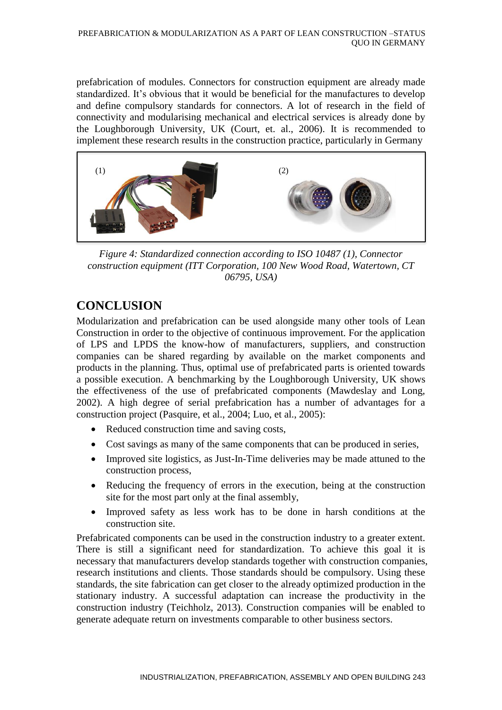prefabrication of modules. Connectors for construction equipment are already made standardized. It's obvious that it would be beneficial for the manufactures to develop and define compulsory standards for connectors. A lot of research in the field of connectivity and modularising mechanical and electrical services is already done by the Loughborough University, UK (Court, et. al., 2006). It is recommended to implement these research results in the construction practice, particularly in Germany



*Figure 4: Standardized connection according to ISO 10487 (1), Connector construction equipment (ITT Corporation, 100 New Wood Road, Watertown, CT 06795, USA)*

# **CONCLUSION**

Modularization and prefabrication can be used alongside many other tools of Lean Construction in order to the objective of continuous improvement. For the application of LPS and LPDS the know-how of manufacturers, suppliers, and construction companies can be shared regarding by available on the market components and products in the planning. Thus, optimal use of prefabricated parts is oriented towards a possible execution. A benchmarking by the Loughborough University, UK shows the effectiveness of the use of prefabricated components (Mawdeslay and Long, 2002). A high degree of serial prefabrication has a number of advantages for a construction project (Pasquire, et al., 2004; Luo, et al., 2005):

- Reduced construction time and saving costs,
- Cost savings as many of the same components that can be produced in series,
- Improved site logistics, as Just-In-Time deliveries may be made attuned to the construction process,
- Reducing the frequency of errors in the execution, being at the construction site for the most part only at the final assembly,
- Improved safety as less work has to be done in harsh conditions at the construction site.

Prefabricated components can be used in the construction industry to a greater extent. There is still a significant need for standardization. To achieve this goal it is necessary that manufacturers develop standards together with construction companies, research institutions and clients. Those standards should be compulsory. Using these standards, the site fabrication can get closer to the already optimized production in the stationary industry. A successful adaptation can increase the productivity in the construction industry (Teichholz, 2013). Construction companies will be enabled to generate adequate return on investments comparable to other business sectors.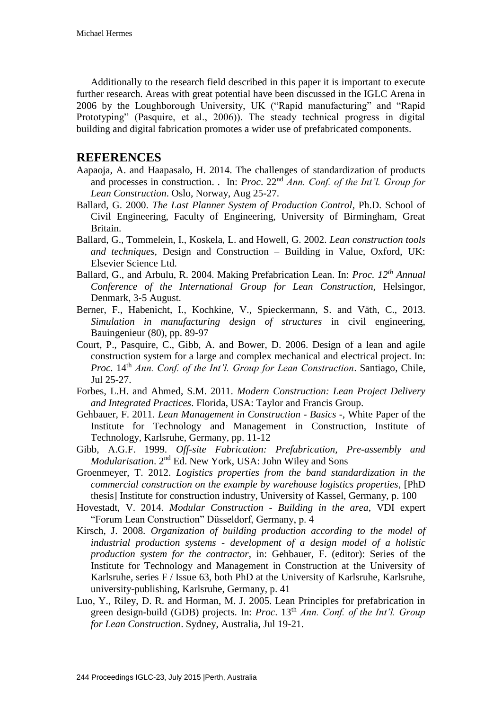Additionally to the research field described in this paper it is important to execute further research. Areas with great potential have been discussed in the IGLC Arena in 2006 by the Loughborough University, UK ("Rapid manufacturing" and "Rapid Prototyping" (Pasquire, et al., 2006)). The steady technical progress in digital building and digital fabrication promotes a wider use of prefabricated components.

## **REFERENCES**

- Aapaoja, A. and Haapasalo, H. 2014. The challenges of standardization of products and processes in construction. . In: *Proc*. 22nd *Ann. Conf. of the Int'l. Group for Lean Construction*. Oslo, Norway, Aug 25-27.
- Ballard, G. 2000. *The Last Planner System of Production Control*, Ph.D. School of Civil Engineering, Faculty of Engineering, University of Birmingham, Great Britain.
- Ballard, G., Tommelein, I., Koskela, L. and Howell, G. 2002. *Lean construction tools and techniques*, Design and Construction – Building in Value, Oxford, UK: Elsevier Science Ltd.
- Ballard, G., and Arbulu, R. 2004. Making Prefabrication Lean. In: *Proc. 12th Annual Conference of the International Group for Lean Construction,* Helsingor, Denmark, 3-5 August.
- Berner, F., Habenicht, I., Kochkine, V., Spieckermann, S. and Väth, C., 2013. *Simulation in manufacturing design of structures* in civil engineering, Bauingenieur (80), pp. 89-97
- Court, P., Pasquire, C., Gibb, A. and Bower, D. 2006. Design of a lean and agile construction system for a large and complex mechanical and electrical project. In: *Proc.* 14<sup>th</sup> *Ann. Conf. of the Int'l. Group for Lean Construction. Santiago, Chile,* Jul 25-27.
- Forbes, L.H. and Ahmed, S.M. 2011. *Modern Construction: Lean Project Delivery and Integrated Practices*. Florida, USA: Taylor and Francis Group.
- Gehbauer, F. 2011. *Lean Management in Construction - Basics -*, White Paper of the Institute for Technology and Management in Construction, Institute of Technology, Karlsruhe, Germany, pp. 11-12
- Gibb, A.G.F. 1999. *Off-site Fabrication: Prefabrication, Pre-assembly and Modularisation*. 2nd Ed. New York, USA: John Wiley and Sons
- Groenmeyer, T. 2012. *Logistics properties from the band standardization in the commercial construction on the example by warehouse logistics properties*, [PhD thesis] Institute for construction industry, University of Kassel, Germany, p. 100
- Hovestadt, V. 2014. *Modular Construction - Building in the area*, VDI expert "Forum Lean Construction" Düsseldorf, Germany, p. 4
- Kirsch, J. 2008. *Organization of building production according to the model of industrial production systems - development of a design model of a holistic production system for the contractor*, in: Gehbauer, F. (editor): Series of the Institute for Technology and Management in Construction at the University of Karlsruhe, series F / Issue 63, both PhD at the University of Karlsruhe, Karlsruhe, university-publishing, Karlsruhe, Germany, p. 41
- Luo, Y., Riley, D. R. and Horman, M. J. 2005. Lean Principles for prefabrication in green design-build (GDB) projects. In: *Proc.* 13<sup>th</sup> *Ann.* Conf. of the Int'l. Group *for Lean Construction*. Sydney, Australia, Jul 19-21.